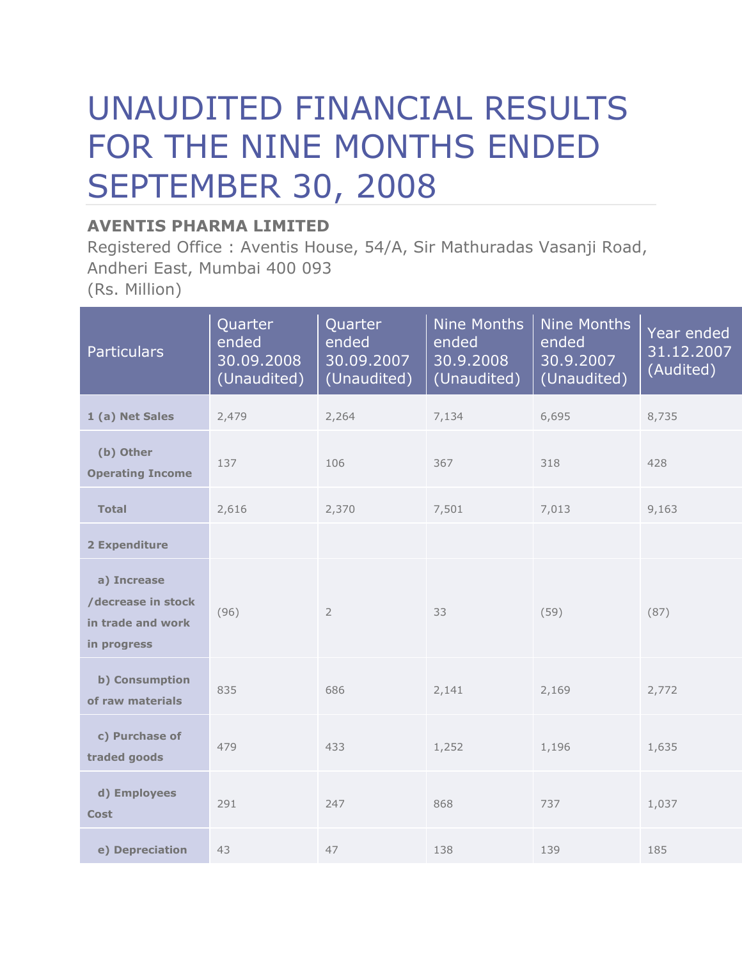# UNAUDITED FINANCIAL RESULTS FOR THE NINE MONTHS ENDED SEPTEMBER 30, 2008

## **AVENTIS PHARMA LIMITED**

Registered Office : Aventis House, 54/A, Sir Mathuradas Vasanji Road, Andheri East, Mumbai 400 093 (Rs. Million)

| <b>Particulars</b>                                                    | Quarter<br>ended<br>30.09.2008<br>(Unaudited) | Quarter<br>ended<br>30.09.2007<br>(Unaudited) | <b>Nine Months</b><br>ended<br>30.9.2008<br>(Unaudited) | <b>Nine Months</b><br>ended<br>30.9.2007<br>(Unaudited) | Year ended<br>31.12.2007<br>(Audited) |
|-----------------------------------------------------------------------|-----------------------------------------------|-----------------------------------------------|---------------------------------------------------------|---------------------------------------------------------|---------------------------------------|
| 1 (a) Net Sales                                                       | 2,479                                         | 2,264                                         | 7,134                                                   | 6,695                                                   | 8,735                                 |
| (b) Other<br><b>Operating Income</b>                                  | 137                                           | 106                                           | 367                                                     | 318                                                     | 428                                   |
| <b>Total</b>                                                          | 2,616                                         | 2,370                                         | 7,501                                                   | 7,013                                                   | 9,163                                 |
| 2 Expenditure                                                         |                                               |                                               |                                                         |                                                         |                                       |
| a) Increase<br>/decrease in stock<br>in trade and work<br>in progress | (96)                                          | $\overline{2}$                                | 33                                                      | (59)                                                    | (87)                                  |
| b) Consumption<br>of raw materials                                    | 835                                           | 686                                           | 2,141                                                   | 2,169                                                   | 2,772                                 |
| c) Purchase of<br>traded goods                                        | 479                                           | 433                                           | 1,252                                                   | 1,196                                                   | 1,635                                 |
| d) Employees<br><b>Cost</b>                                           | 291                                           | 247                                           | 868                                                     | 737                                                     | 1,037                                 |
| e) Depreciation                                                       | 43                                            | 47                                            | 138                                                     | 139                                                     | 185                                   |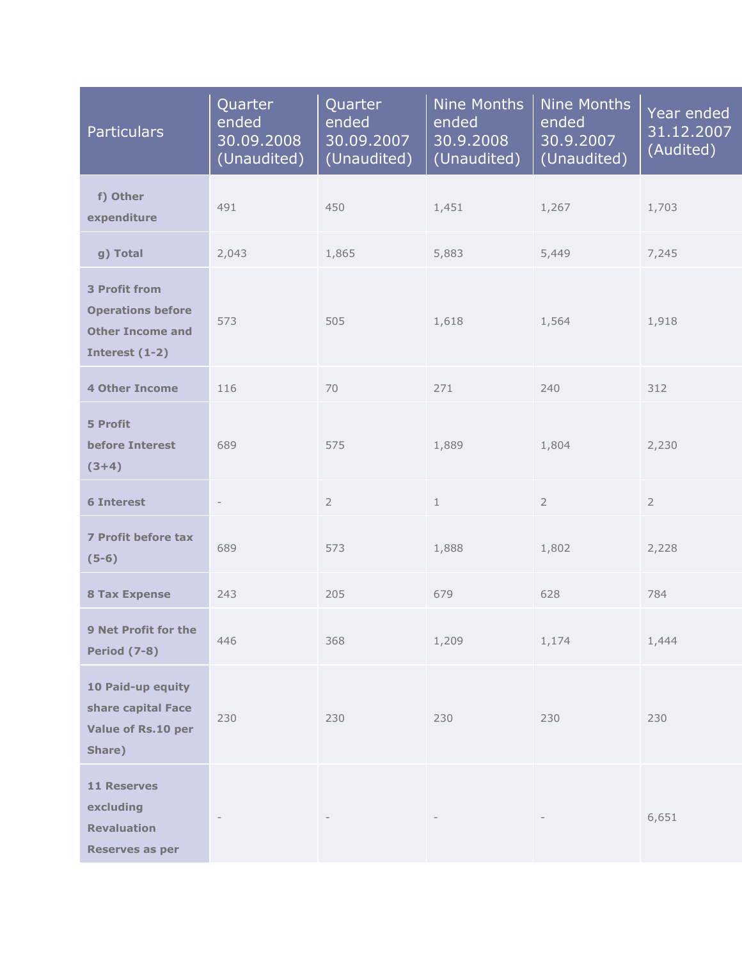| <b>Particulars</b>                                                                            | Quarter<br>ended<br>30.09.2008<br>(Unaudited) | Quarter<br>ended<br>30.09.2007<br>(Unaudited) | <b>Nine Months</b><br>ended<br>30.9.2008<br>(Unaudited) | <b>Nine Months</b><br>ended<br>30.9.2007<br>(Unaudited) | Year ended<br>31.12.2007<br>(Audited) |
|-----------------------------------------------------------------------------------------------|-----------------------------------------------|-----------------------------------------------|---------------------------------------------------------|---------------------------------------------------------|---------------------------------------|
| f) Other<br>expenditure                                                                       | 491                                           | 450                                           | 1,451                                                   | 1,267                                                   | 1,703                                 |
| g) Total                                                                                      | 2,043                                         | 1,865                                         | 5,883                                                   | 5,449                                                   | 7,245                                 |
| <b>3 Profit from</b><br><b>Operations before</b><br><b>Other Income and</b><br>Interest (1-2) | 573                                           | 505                                           | 1,618                                                   | 1,564                                                   | 1,918                                 |
| <b>4 Other Income</b>                                                                         | 116                                           | 70                                            | 271                                                     | 240                                                     | 312                                   |
| 5 Profit<br><b>before Interest</b><br>$(3+4)$                                                 | 689                                           | 575                                           | 1,889                                                   | 1,804                                                   | 2,230                                 |
| <b>6 Interest</b>                                                                             | $\overline{\phantom{a}}$                      | $\overline{2}$                                | $\mathbf{1}$                                            | $\overline{2}$                                          | $\overline{2}$                        |
| 7 Profit before tax<br>$(5-6)$                                                                | 689                                           | 573                                           | 1,888                                                   | 1,802                                                   | 2,228                                 |
| <b>8 Tax Expense</b>                                                                          | 243                                           | 205                                           | 679                                                     | 628                                                     | 784                                   |
| 9 Net Profit for the<br><b>Period (7-8)</b>                                                   | 446                                           | 368                                           | 1,209                                                   | 1,174                                                   | 1,444                                 |
| 10 Paid-up equity<br>share capital Face<br>Value of Rs.10 per<br>Share)                       | 230                                           | 230                                           | 230                                                     | 230                                                     | 230                                   |
| <b>11 Reserves</b><br>excluding<br><b>Revaluation</b><br><b>Reserves as per</b>               |                                               |                                               |                                                         |                                                         | 6,651                                 |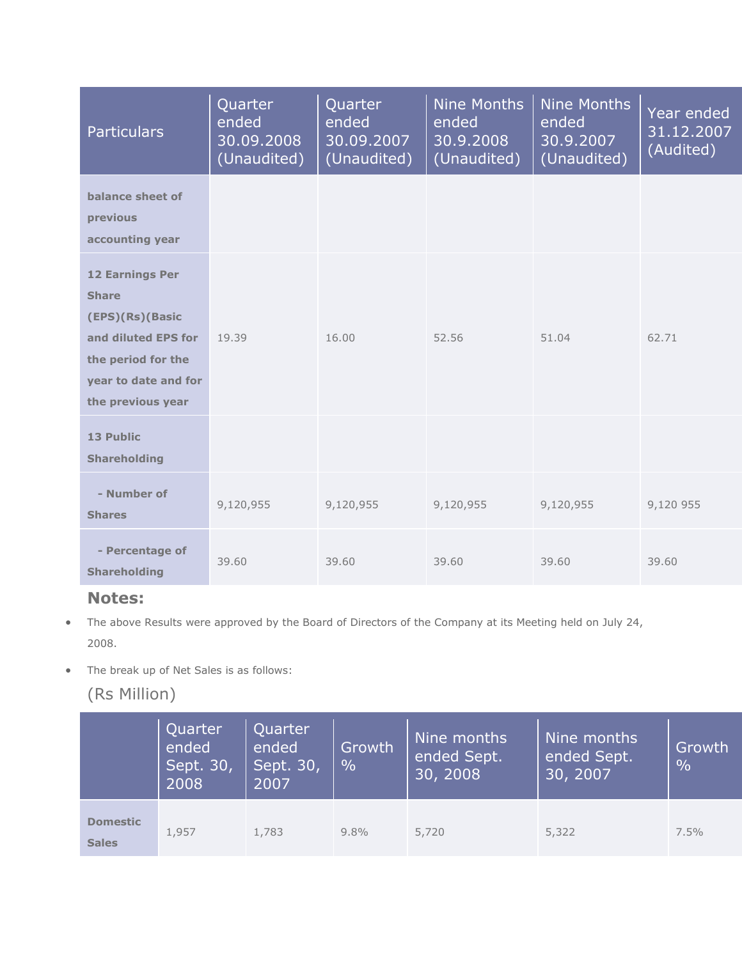| <b>Particulars</b>                                                                                                                                  | Quarter<br>ended<br>30.09.2008<br>(Unaudited) | Quarter<br>ended<br>30.09.2007<br>(Unaudited) | <b>Nine Months</b><br>ended<br>30.9.2008<br>(Unaudited) | Nine Months<br>ended<br>30.9.2007<br>(Unaudited) | Year ended<br>31.12.2007<br>(Audited) |
|-----------------------------------------------------------------------------------------------------------------------------------------------------|-----------------------------------------------|-----------------------------------------------|---------------------------------------------------------|--------------------------------------------------|---------------------------------------|
| balance sheet of<br>previous<br>accounting year                                                                                                     |                                               |                                               |                                                         |                                                  |                                       |
| <b>12 Earnings Per</b><br><b>Share</b><br>(EPS)(Rs)(Basic<br>and diluted EPS for<br>the period for the<br>year to date and for<br>the previous year | 19.39                                         | 16.00                                         | 52.56                                                   | 51.04                                            | 62.71                                 |
| 13 Public<br><b>Shareholding</b>                                                                                                                    |                                               |                                               |                                                         |                                                  |                                       |
| - Number of<br><b>Shares</b>                                                                                                                        | 9,120,955                                     | 9,120,955                                     | 9,120,955                                               | 9,120,955                                        | 9,120 955                             |
| - Percentage of<br><b>Shareholding</b>                                                                                                              | 39.60                                         | 39.60                                         | 39.60                                                   | 39.60                                            | 39.60                                 |

### **Notes:**

- The above Results were approved by the Board of Directors of the Company at its Meeting held on July 24, 2008.
- The break up of Net Sales is as follows:

# (Rs Million)

|                                 | Quarter<br>ended<br>Sept. 30,<br>2008 | Quarter<br>ended<br>Sept. 30,<br>2007 | Growth<br>$\frac{0}{0}$ | Nine months<br>ended Sept.<br>30, 2008 | Nine months<br>ended Sept.<br>30, 2007 | Growth<br>$\frac{0}{0}$ |
|---------------------------------|---------------------------------------|---------------------------------------|-------------------------|----------------------------------------|----------------------------------------|-------------------------|
| <b>Domestic</b><br><b>Sales</b> | 1,957                                 | 1,783                                 | $9.8\%$                 | 5,720                                  | 5,322                                  | $7.5\%$                 |